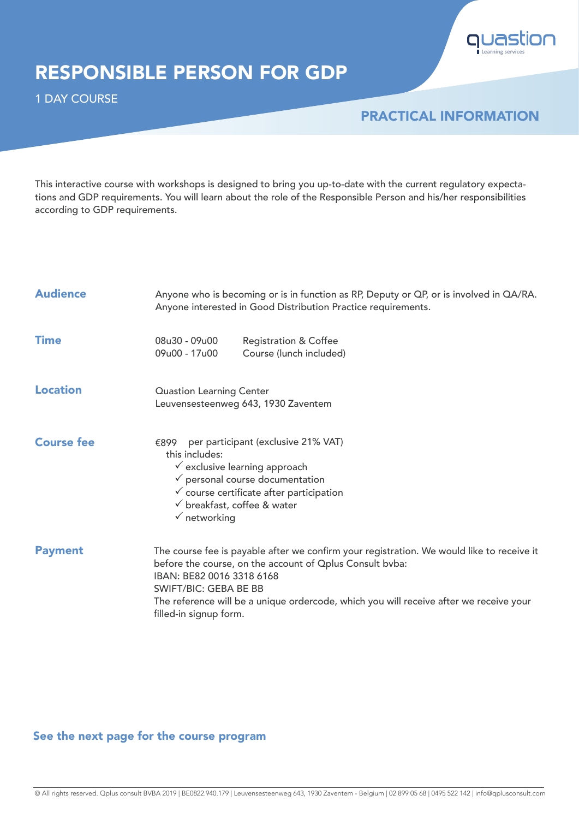

## RESPONSIBLE PERSON FOR GDP

1 DAY COURSE

### PRACTICAL INFORMATION

This interactive course with workshops is designed to bring you up-to-date with the current regulatory expectations and GDP requirements. You will learn about the role of the Responsible Person and his/her responsibilities according to GDP requirements.

| <b>Audience</b>   | Anyone who is becoming or is in function as RP, Deputy or QP, or is involved in QA/RA.<br>Anyone interested in Good Distribution Practice requirements.                                                                                                                                                                                |  |
|-------------------|----------------------------------------------------------------------------------------------------------------------------------------------------------------------------------------------------------------------------------------------------------------------------------------------------------------------------------------|--|
| <b>Time</b>       | 08u30 - 09u00<br><b>Registration &amp; Coffee</b><br>09u00 - 17u00<br>Course (lunch included)                                                                                                                                                                                                                                          |  |
| <b>Location</b>   | <b>Quastion Learning Center</b><br>Leuvensesteenweg 643, 1930 Zaventem                                                                                                                                                                                                                                                                 |  |
| <b>Course fee</b> | per participant (exclusive 21% VAT)<br>€899<br>this includes:<br>$\checkmark$ exclusive learning approach<br>$\checkmark$ personal course documentation<br>$\checkmark$ course certificate after participation<br>$\checkmark$ breakfast, coffee & water<br>$\checkmark$ networking                                                    |  |
| <b>Payment</b>    | The course fee is payable after we confirm your registration. We would like to receive it<br>before the course, on the account of Oplus Consult bvba:<br>IBAN: BE82 0016 3318 6168<br><b>SWIFT/BIC: GEBA BE BB</b><br>The reference will be a unique ordercode, which you will receive after we receive your<br>filled-in signup form. |  |

#### See the next page for the course program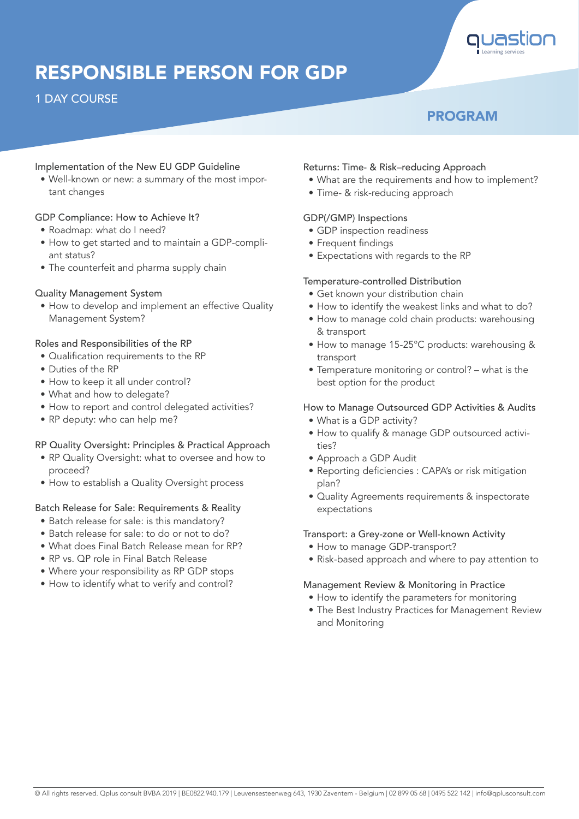

# RESPONSIBLE PERSON FOR GDP

#### 1 DAY COURSE

### PROGRAM

#### Implementation of the New EU GDP Guideline

• Well-known or new: a summary of the most important changes

#### GDP Compliance: How to Achieve It?

- Roadmap: what do I need?
- How to get started and to maintain a GDP-compliant status?
- The counterfeit and pharma supply chain

#### Quality Management System

• How to develop and implement an effective Quality Management System?

#### Roles and Responsibilities of the RP

- Qualification requirements to the RP
- Duties of the RP
- How to keep it all under control?
- What and how to delegate?
- How to report and control delegated activities?
- RP deputy: who can help me?

#### RP Quality Oversight: Principles & Practical Approach

- RP Quality Oversight: what to oversee and how to proceed?
- How to establish a Quality Oversight process

#### Batch Release for Sale: Requirements & Reality

- Batch release for sale: is this mandatory?
- Batch release for sale: to do or not to do?
- What does Final Batch Release mean for RP?
- RP vs. QP role in Final Batch Release
- Where your responsibility as RP GDP stops
- How to identify what to verify and control?

#### Returns: Time- & Risk–reducing Approach

- What are the requirements and how to implement?
- Time- & risk-reducing approach

#### GDP(/GMP) Inspections

- GDP inspection readiness
- Frequent findings
- Expectations with regards to the RP

#### Temperature-controlled Distribution

- Get known your distribution chain
- How to identify the weakest links and what to do?
- How to manage cold chain products: warehousing & transport
- How to manage 15-25°C products: warehousing & transport
- Temperature monitoring or control? what is the best option for the product

#### How to Manage Outsourced GDP Activities & Audits

- What is a GDP activity?
- How to qualify & manage GDP outsourced activities?
- Approach a GDP Audit
- Reporting deficiencies : CAPA's or risk mitigation plan?
- Quality Agreements requirements & inspectorate expectations

#### Transport: a Grey-zone or Well-known Activity

- How to manage GDP-transport?
- Risk-based approach and where to pay attention to

#### Management Review & Monitoring in Practice

- How to identify the parameters for monitoring
- The Best Industry Practices for Management Review and Monitoring